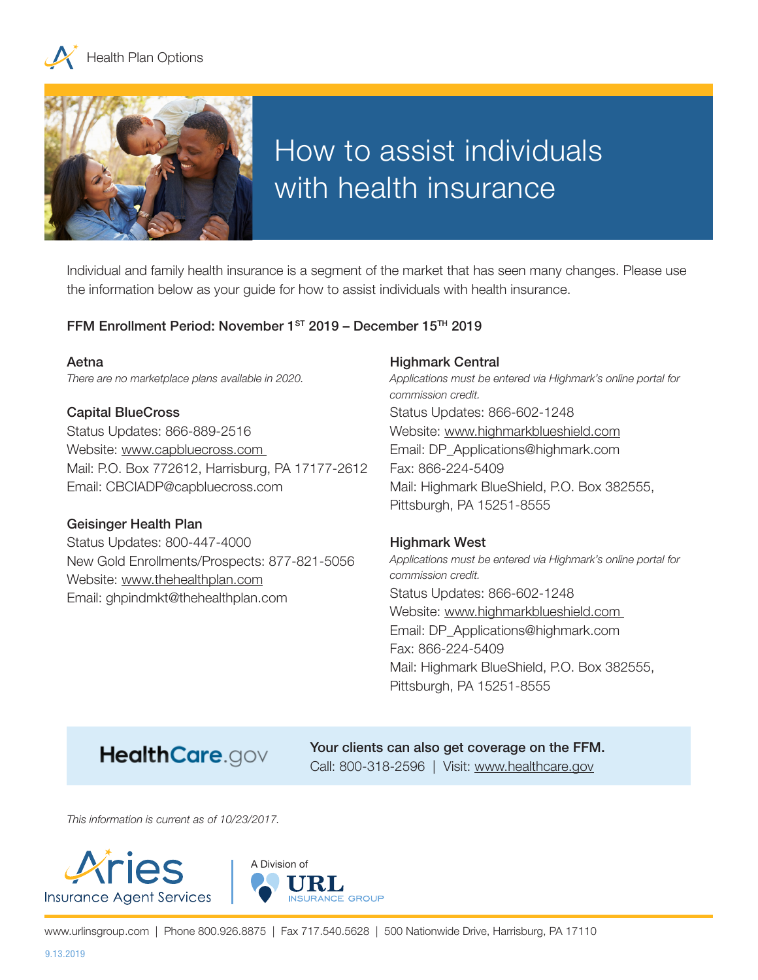



# How to assist individuals with health insurance

Individual and family health insurance is a segment of the market that has seen many changes. Please use the information below as your guide for how to assist individuals with health insurance.

## FFM Enrollment Period: November 1ST 2019 – December 15TH 2019

#### Aetna *There are no marketplace plans available in 2020.*

#### Capital BlueCross

Status Updates: 866-889-2516 Website: www.capbluecross.com Mail: P.O. Box 772612, Harrisburg, PA 17177-2612 Email: CBCIADP@capbluecross.com

#### Geisinger Health Plan

Status Updates: 800-447-4000 New Gold Enrollments/Prospects: 877-821-5056 Website: www.thehealthplan.com Email: ghpindmkt@thehealthplan.com

#### Highmark Central

*Applications must be entered via Highmark's online portal for commission credit.* Status Updates: 866-602-1248 Website: www.highmarkblueshield.com Email: DP\_Applications@highmark.com Fax: 866-224-5409 Mail: Highmark BlueShield, P.O. Box 382555, Pittsburgh, PA 15251-8555

#### Highmark West

*Applications must be entered via Highmark's online portal for commission credit.* Status Updates: 866-602-1248 Website: www.highmarkblueshield.com Email: DP\_Applications@highmark.com Fax: 866-224-5409 Mail: Highmark BlueShield, P.O. Box 382555, Pittsburgh, PA 15251-8555

# HealthCare.gov

Your clients can also get coverage on the FFM. Call: 800-318-2596 | Visit: www.healthcare.gov

*This information is current as of 10/23/2017.*